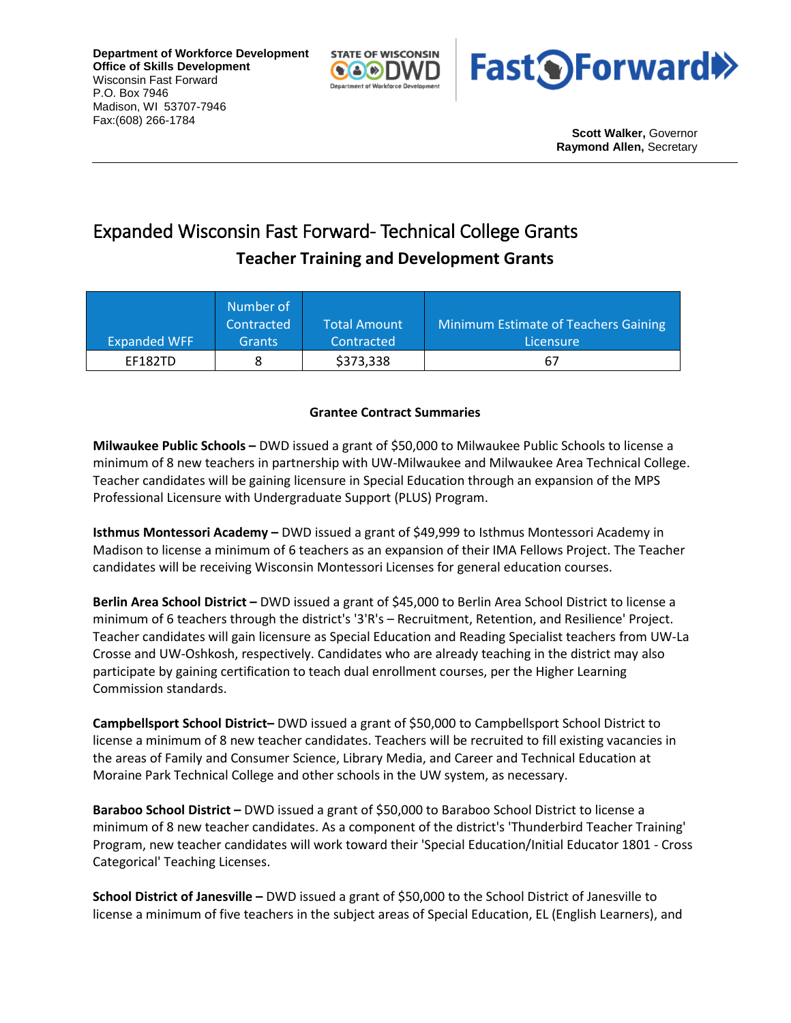**Department of Workforce Development Office of Skills Development** Wisconsin Fast Forward P.O. Box 7946 Madison, WI 53707-7946 Fax:(608) 266-1784





**Scott Walker,** Governor **Raymond Allen,** Secretary

## Expanded Wisconsin Fast Forward- Technical College Grants **Teacher Training and Development Grants**

| <b>Expanded WFF</b> | Number of<br>Contracted<br><b>Grants</b> | <b>Total Amount</b><br>Contracted | Minimum Estimate of Teachers Gaining<br>Licensure |
|---------------------|------------------------------------------|-----------------------------------|---------------------------------------------------|
|                     |                                          |                                   |                                                   |
| EF182TD             |                                          | \$373,338                         | 67                                                |

## **Grantee Contract Summaries**

**Milwaukee Public Schools –** DWD issued a grant of \$50,000 to Milwaukee Public Schools to license a minimum of 8 new teachers in partnership with UW-Milwaukee and Milwaukee Area Technical College. Teacher candidates will be gaining licensure in Special Education through an expansion of the MPS Professional Licensure with Undergraduate Support (PLUS) Program.

**Isthmus Montessori Academy –** DWD issued a grant of \$49,999 to Isthmus Montessori Academy in Madison to license a minimum of 6 teachers as an expansion of their IMA Fellows Project. The Teacher candidates will be receiving Wisconsin Montessori Licenses for general education courses.

**Berlin Area School District –** DWD issued a grant of \$45,000 to Berlin Area School District to license a minimum of 6 teachers through the district's '3'R's – Recruitment, Retention, and Resilience' Project. Teacher candidates will gain licensure as Special Education and Reading Specialist teachers from UW-La Crosse and UW-Oshkosh, respectively. Candidates who are already teaching in the district may also participate by gaining certification to teach dual enrollment courses, per the Higher Learning Commission standards.

**Campbellsport School District–** DWD issued a grant of \$50,000 to Campbellsport School District to license a minimum of 8 new teacher candidates. Teachers will be recruited to fill existing vacancies in the areas of Family and Consumer Science, Library Media, and Career and Technical Education at Moraine Park Technical College and other schools in the UW system, as necessary.

**Baraboo School District –** DWD issued a grant of \$50,000 to Baraboo School District to license a minimum of 8 new teacher candidates. As a component of the district's 'Thunderbird Teacher Training' Program, new teacher candidates will work toward their 'Special Education/Initial Educator 1801 - Cross Categorical' Teaching Licenses.

**School District of Janesville –** DWD issued a grant of \$50,000 to the School District of Janesville to license a minimum of five teachers in the subject areas of Special Education, EL (English Learners), and